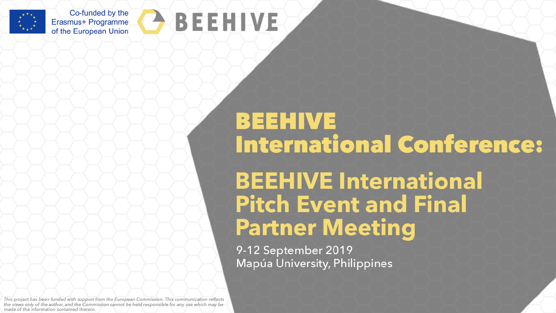

Co-funded by the Erasmus+ Programme of the European Union



# **BEEHIVE International Conference:**

**BEEHIVE International Pitch Event and Final Partner Meeting** 

9-12 September 2019 Mapúa University, Philippines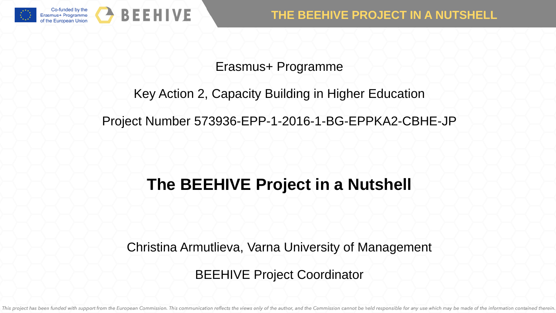

### Erasmus+ Programme

### Key Action 2, Capacity Building in Higher Education

Project Number 573936-EPP-1-2016-1-BG-EPPKA2-CBHE-JP

# **The BEEHIVE Project in a Nutshell**

Christina Armutlieva, Varna University of Management

BEEHIVE Project Coordinator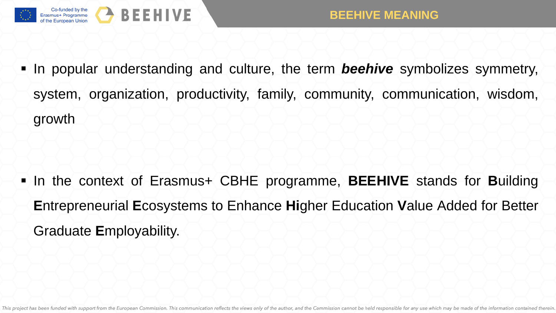

In popular understanding and culture, the term **beehive** symbolizes symmetry, system, organization, productivity, family, community, communication, wisdom, growth

 In the context of Erasmus+ CBHE programme, **BEEHIVE** stands for **B**uilding **E**ntrepreneurial **E**cosystems to Enhance **Hi**gher Education **V**alue Added for Better Graduate **E**mployability.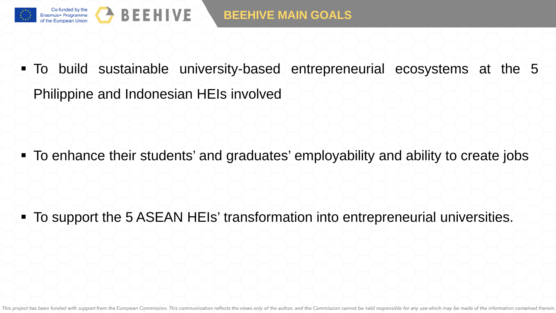

 To build sustainable university-based entrepreneurial ecosystems at the 5 Philippine and Indonesian HEIs involved

To enhance their students' and graduates' employability and ability to create jobs

To support the 5 ASEAN HEIs' transformation into entrepreneurial universities.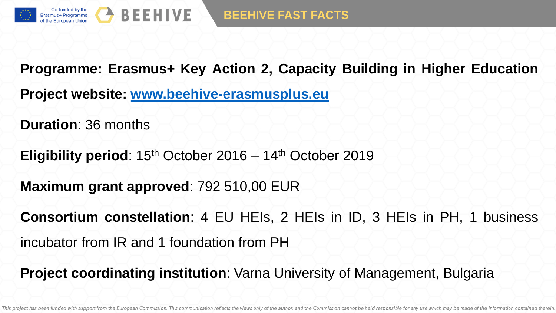

**Programme: Erasmus+ Key Action 2, Capacity Building in Higher Education Project website: [www.beehive-erasmusplus.eu](http://www.beehive-erasmusplus.eu/)**

**Duration**: 36 months

**Eligibility period:**  $15<sup>th</sup>$  October 2016 –  $14<sup>th</sup>$  October 2019

**Maximum grant approved**: 792 510,00 EUR

**Consortium constellation**: 4 EU HEIs, 2 HEIs in ID, 3 HEIs in PH, 1 business incubator from IR and 1 foundation from PH

**Project coordinating institution**: Varna University of Management, Bulgaria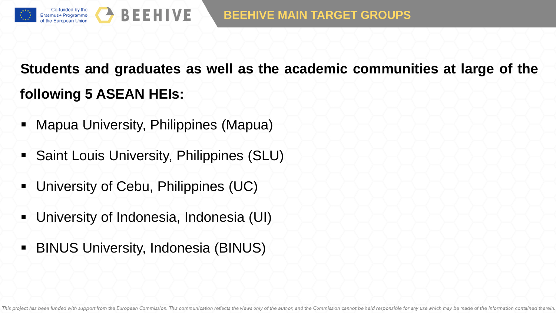# **Students and graduates as well as the academic communities at large of the following 5 ASEAN HEIs:**

- Mapua University, Philippines (Mapua)
- **Saint Louis University, Philippines (SLU)**
- **University of Cebu, Philippines (UC)**
- University of Indonesia, Indonesia (UI)
- **BINUS University, Indonesia (BINUS)**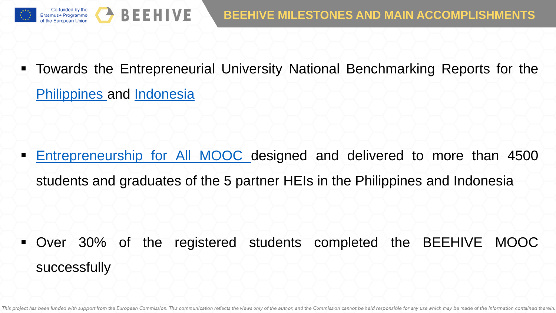

 Towards the Entrepreneurial University National Benchmarking Reports for the [Philippines](http://beehive-erasmusplus.eu/towards-the-entrepreneurial-university-philippines/) and [Indonesia](http://beehive-erasmusplus.eu/towards-the-entrepreneurial-university-indonesia/)

 [Entrepreneurship](http://beehive-erasmusplus.eu/courses/entrepreneurship-mooc/) for All MOOC designed and delivered to more than 4500 students and graduates of the 5 partner HEIs in the Philippines and Indonesia

 Over 30% of the registered students completed the BEEHIVE MOOC successfully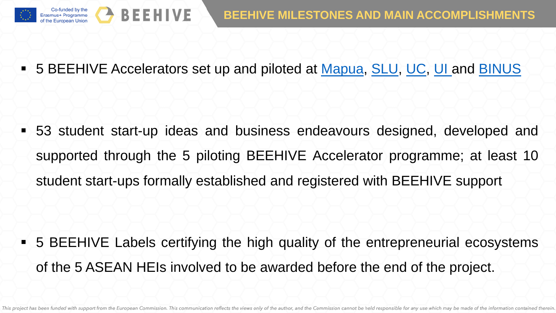

5 BEEHIVE Accelerators set up and piloted at [Mapua,](http://beehive-erasmusplus.eu/mapua-univeristy/) [SLU,](http://beehive-erasmusplus.eu/saint-louis-university-2/) [UC,](http://beehive-erasmusplus.eu/university-of-cebu-2/) [UI](http://beehive-erasmusplus.eu/university-of-indonesia-2/) and [BINUS](http://beehive-erasmusplus.eu/binus-university/)

 53 student start-up ideas and business endeavours designed, developed and supported through the 5 piloting BEEHIVE Accelerator programme; at least 10 student start-ups formally established and registered with BEEHIVE support

 5 BEEHIVE Labels certifying the high quality of the entrepreneurial ecosystems of the 5 ASEAN HEIs involved to be awarded before the end of the project.